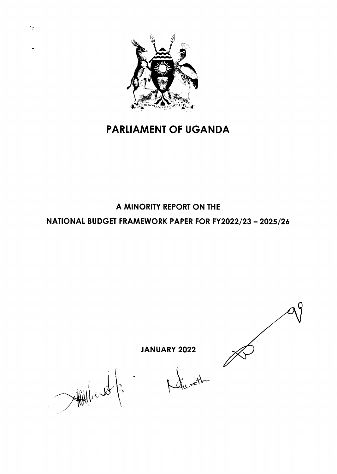

# **PARLIAMENT OF UGANDA**

## A MINORITY REPORT ON THE NATIONAL BUDGET FRAMEWORK PAPER FOR FY2022/23 - 2025/26

**JANUARY 2022** 

 $X_{nc}$  vel

Millield  $\sqrt{2}$ 

 $\mathbf{L}^2$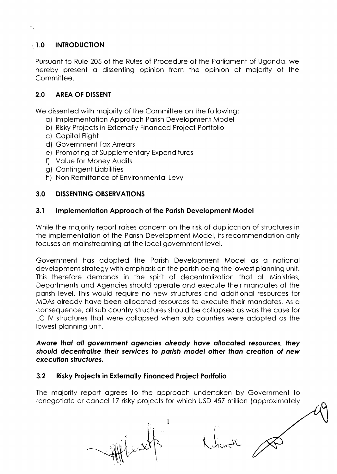#### **INTRODUCTION**  $-1.0$

Pursuant to Rule 205 of the Rules of Procedure of the Parliament of Uganda, we hereby present a dissenting opinion from the opinion of majority of the Committee.

#### $2.0$ **AREA OF DISSENT**

We dissented with majority of the Committee on the following:

- a) Implementation Approach Parish Development Model
- b) Risky Projects in Externally Financed Project Portfolio
- c) Capital Flight
- d) Government Tax Arrears
- e) Prompting of Supplementary Expenditures
- f) Value for Money Audits
- g) Contingent Liabilities
- h) Non Remittance of Environmental Levy

#### $3.0$ **DISSENTING OBSERVATIONS**

#### $3.1$ **Implementation Approach of the Parish Development Model**

While the majority report raises concern on the risk of duplication of structures in the implementation of the Parish Development Model, its recommendation only focuses on mainstreaming at the local government level.

Government has adopted the Parish Development Model as a national development strategy with emphasis on the parish being the lowest planning unit. This therefore demands in the spirit of decentralization that all Ministries, Departments and Agencies should operate and execute their mandates at the parish level. This would require no new structures and additional resources for MDAs already have been allocated resources to execute their mandates. As a consequence, all sub country structures should be collapsed as was the case for LC IV structures that were collapsed when sub counties were adopted as the lowest planning unit.

Aware that all government agencies already have allocated resources, they should decentralise their services to parish model other than creation of new execution structures.

#### $3.2$ **Risky Projects in Externally Financed Project Portfolio**

The majority report agrees to the approach undertaken by Government to renegotiate or cancel 17 risky projects for which USD 457 million (approximately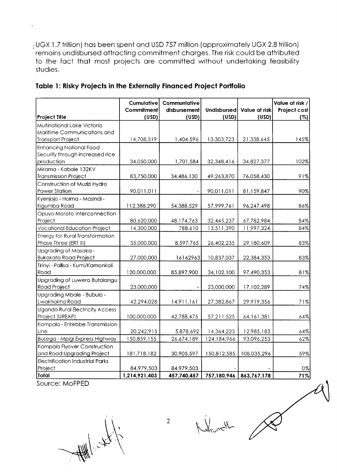- UGX 1.7 trillion) has been spent and USD 757 million (approximately UGX 2.8 trillion) remains undisbursed attracting commitment charges. The risk could be attributed to the fact that most projects are committed without undertaking feasibility studies.

| <b>Project Title</b>                    | Cumulative<br><b>Commitment</b><br>(USD) | <b>Communiative</b><br>disbursement<br>(USD) | Undisbursed<br>(USD) | Value at risk<br>(USD) | Value at risk /<br>Project cost<br>(%) |
|-----------------------------------------|------------------------------------------|----------------------------------------------|----------------------|------------------------|----------------------------------------|
| Multinational Lake Victoria             |                                          |                                              |                      |                        |                                        |
| Maritime Communications and             |                                          |                                              |                      |                        |                                        |
| <b>Transport Project</b>                | 14,708,319                               | 1,404,596                                    | 13,303,723           | 21,338,645             | 145%                                   |
| <b>Enhancing National Food</b>          |                                          |                                              |                      |                        |                                        |
| Security through increased rice         |                                          |                                              |                      |                        |                                        |
| production                              | 34,050,000                               | 1,701,584                                    | 32,348,416           | 34,827,377             | 102%                                   |
| Mirama - Kabale 132KV                   |                                          |                                              |                      |                        |                                        |
| <b>Transmission Project</b>             | 83,750,000                               | 34,486,130                                   | 49,263,870           | 76,058,430             | 91%                                    |
| Construction of Muzizi Hydro            |                                          |                                              |                      |                        |                                        |
| Power Station                           | 90,011,011                               |                                              | 90,011,011           | 81,159,847             | 90%                                    |
| Kyenjojo - Hoima - Masindi -            |                                          |                                              |                      |                        |                                        |
| Kigumba Road                            | 112,388,290                              | 54,388,529                                   | 57,999,761           | 96,247,498             | 86%                                    |
| Opuyo Moroto Interconnection            |                                          |                                              |                      |                        |                                        |
| Project                                 | 80,620,000                               | 48,174,763                                   | 32,445,237           | 67,782,984             | 84%                                    |
| <b>Vocational Education Project</b>     | 14,300,000                               | 788,610                                      | 13,511,390           | 11,997,324             | 84%                                    |
| <b>Energy for Rural Transformation</b>  |                                          |                                              |                      |                        |                                        |
| Phase Three (ERT III)                   | 35,000,000                               | 8,597,765                                    | 26,402,235           | 29,180,609             | 83%                                    |
| Upgrading of Masaka -                   |                                          |                                              |                      |                        |                                        |
| <b>Bukakata Road Project</b>            | 27,000,000                               | 16162963                                     | 10,837,037           | 22,384,353             | 83%                                    |
| Tirinyi - Pallisa - Kumi/Kamonkoli      |                                          |                                              |                      |                        |                                        |
| Road                                    | 120,000,000                              | 85,897,900                                   | 34,102,100           | 97,490,353             | 81%                                    |
| Upgrading of Luwero Butalangu           |                                          |                                              |                      |                        |                                        |
| Road Project                            | 23,000,000                               |                                              | 23,000,000           | 17,102,289             | 74%                                    |
| Upgrading Mbale - Bubulo -              |                                          |                                              |                      |                        |                                        |
| Lwakhakha Road                          | 42,294,028                               | 14,911,161                                   | 27,382,867           | 29,919,356             | 71%                                    |
| <b>Uganda Rural Electricity Access</b>  |                                          |                                              |                      |                        |                                        |
| Project (UREAP)                         | 100,000,000                              | 42,788,475                                   | 57,211,525           | 64, 161, 381           | 64%                                    |
| Kampala - Entebbe Transmission          |                                          |                                              |                      |                        |                                        |
| Line                                    | 20,242,915                               | 5,878,692                                    | 14,364,223           | 12,985,183             | 64%                                    |
| Busega - Mpigi Express Highway          | 150,859,155                              | 26,674,189                                   | 124,184,966          | 93,096,253             | 62%                                    |
| Kampala Flyover Construction            |                                          |                                              |                      |                        |                                        |
| and Road Upgrading Project              | 181,718,182                              | 30,905,597                                   | 150,812,585          | 108,035,296            | 59%                                    |
| <b>Electrification Industrial Parks</b> |                                          |                                              |                      |                        |                                        |
| Project                                 | 84,979,503                               | 84,979,503                                   |                      |                        | 0%                                     |
| Total                                   | 1,214,921,403                            | 457,740,457                                  | 757,180,946          | 863,767,178            | 71%                                    |

### Table 1: Risky Projects in the Externally Financed Project Portfolio

Source: MoFPED

 $\overline{\phantom{a}}$ 

Attended to

Hymeth

 $\overline{2}$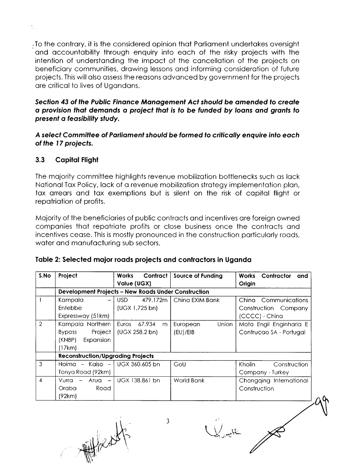To the contrary, it is the considered opinion that Parliament undertakes oversight and accountability through enquiry into each of the risky projects with the intention of understanding the impact of the cancellation of the projects on beneficiary communities, drawing lessons and informing consideration of future projects. This will also assess the reasons advanced by government for the projects are critical to lives of Ugandans.

### Section 43 of the Public Finance Management Act should be amended to create a provision that demands a project that is to be funded by loans and grants to present a feasibility study.

A select Committee of Parliament should be formed to critically enquire into each of the 17 projects.

#### $3.3$ **Capital Flight**

The majority committee highlights revenue mobilization bottlenecks such as lack National Tax Policy, lack of a revenue mobilization strategy implementation plan, tax arrears and tax exemptions but is silent on the risk of capital flight or repatriation of profits.

Majority of the beneficiaries of public contracts and incentives are foreign owned companies that repatriate profits or close business once the contracts and incentives cease. This is mostly pronounced in the construction particularly roads, water and manufacturing sub sectors.

| Table 2: Selected major roads projects and contractors in Uganda |  |  |  |  |
|------------------------------------------------------------------|--|--|--|--|
|------------------------------------------------------------------|--|--|--|--|

| S.No          | Project                                  | Contract<br><b>Works</b>                                   | <b>Source of Funding</b> | Contractor<br><b>Works</b><br>and |
|---------------|------------------------------------------|------------------------------------------------------------|--------------------------|-----------------------------------|
|               |                                          | Value (UGX)                                                |                          | Origin                            |
|               |                                          | <b>Development Projects - New Roads Under Construction</b> |                          |                                   |
|               | Kampala                                  | USD.<br>479.172m                                           | China EXIM Bank          | China Communications              |
|               | Entebbe                                  | (UGX 1, 725 b)                                             |                          | Construction Company              |
|               | Expressway (51km)                        |                                                            |                          | (CCCC) - China                    |
| $\mathcal{P}$ | Kampala Northern                         | Euros<br>67.934<br>m                                       | Union<br>European        | Mota Engil Enginharia E           |
|               | Project  <br><b>Bypass</b>               | (UGX 258.2 b)                                              | (EU)/EIB                 | Contrucao SA - Portugal           |
|               | (KNBP)<br>Expansion                      |                                                            |                          |                                   |
|               | [17km]                                   |                                                            |                          |                                   |
|               | <b>Reconstruction/Upgrading Projects</b> |                                                            |                          |                                   |
| 3             | Hoima – Kaiso – I UGX 360,605 bn         |                                                            | GoU                      | Kholin<br>Construction            |
|               | Tonya Road (92km)                        |                                                            |                          | Company - Turkey                  |
| 4             | $Vurra -$<br>Arua<br>$\sim$              | UGX 138.861 bn                                             | World Bank               | Chongqing International           |
|               | Oraba.<br>Road                           |                                                            |                          | Construction                      |
|               | (92km)                                   |                                                            |                          |                                   |

We design

 $\mathfrak{Z}$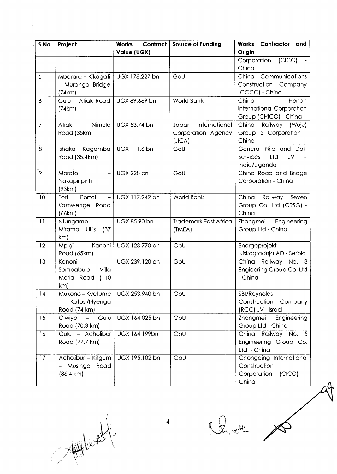| S.No             | Project                                                                | Contract  <br><b>Works</b> | <b>Source of Funding</b>               | Contractor and<br>Works                                                   |
|------------------|------------------------------------------------------------------------|----------------------------|----------------------------------------|---------------------------------------------------------------------------|
|                  |                                                                        | Value (UGX)                |                                        | Origin                                                                    |
|                  |                                                                        |                            |                                        | (CICO)<br>Corporation<br>China                                            |
| 5                | Mbarara - Kikagati   UGX 178.227 bn                                    |                            | GoU                                    | China Communications                                                      |
|                  | - Murongo Bridge<br>(74km)                                             |                            |                                        | Construction Company<br>(CCCC) - China                                    |
| $\boldsymbol{6}$ | Gulu - Atiak Road<br>(74km)                                            | UGX 89.669 bn              | <b>World Bank</b>                      | China<br>Henan<br>International Corporation<br>Group (CHICO) - China      |
| $\overline{7}$   | Nimule<br>Atiak<br>$\overline{\phantom{0}}$                            | UGX 53.74 bn               | International<br>Japan                 | China<br>Railway (Wuju)                                                   |
|                  | Road (35km)                                                            |                            | Corporation Agency<br>(JICA)           | Group 5 Corporation -<br>China                                            |
| 8                | Ishaka - Kagamba<br>Road (35.4km)                                      | UGX 111.6 bn               | GoU                                    | General Nile and Dott<br>Services<br>Ltd<br>JV<br>India/Uganda            |
| 9                | Moroto<br>Nakapiripiriti<br>(93km)                                     | <b>UGX 228 bn</b>          | GoU                                    | China Road and Bridge<br>Corporation - China                              |
| 10               | Fort<br>Portal<br>$\overline{\phantom{a}}$<br>Kamwenge Road<br>(66km)  | UGX 117.942 bn             | <b>World Bank</b>                      | China Railway Seven<br>Group Co. Ltd (CRSG) -<br>China                    |
| 11               | Ntungamo<br>$\qquad \qquad -$<br>Mirama<br><b>Hills</b><br>(37)<br>km) | UGX 85.90 bn               | <b>Trademark East Africa</b><br>(TMEA) | Zhongmei<br>Engineering<br>Group Ltd - China                              |
| 12               | – Kanoni<br>Mpigi<br>Road (65km)                                       | UGX 123.770 bn             | GoU                                    | Energoprojekt<br>Niskogradnja AD - Serbia                                 |
| 13               | Kanoni<br>$\equiv$<br>Sembabule - Villa<br>Maria Road (110<br>km)      | UGX 239.120 bn             | GoU                                    | China Railway No. 3<br>Engieering Group Co. Ltd<br>- China                |
| 14               | Mukono - Kyetume<br>Katosi/Nyenga<br>Road (74 km)                      | UGX 253.940 bn             | $\overline{G}$ oU                      | SBI/Reynolds<br>Construction Company<br>(RCC) JV - Israel                 |
| 15               | Gulu<br>Olwiyo<br>$ \,$<br>Road (70.3 km)                              | UGX 164.025 bn             | GoU                                    | Zhongmei<br>Engineering<br>Group Ltd - China                              |
| 16               | Gulu - Acholibur<br>Road (77.7 km)                                     | UGX 164.199bn              | GoU                                    | China Railway No. 5<br>Engineering Group Co.<br>Ltd - China               |
| 17               | Acholibur - Kitgum<br>Musingo<br>Road<br>$(86.4 \text{ km})$           | UGX 195.102 bn             | GoU                                    | Chongqing International<br>Construction<br>Corporation<br>(CICO)<br>China |

 $\begin{picture}(120,140)(-30,140)(-20,140)(-20,140)(-20,140)(-20,140)(-20,140)(-20,140)(-20,140)(-20,140)(-20,140)(-20,140)(-20,140)(-20,140)(-20,140)(-20,140)(-20,140)(-20,140)(-20,140)(-20,140)(-20,140)(-20,140)(-20,140)(-20,140)(-20,140)(-20,140)(-20,140$ 

 $\sim$   $\frac{1}{\pi}$ 

 $Q_{\rm orb}$ 

 $\overline{\mathbb{A}}$ 

4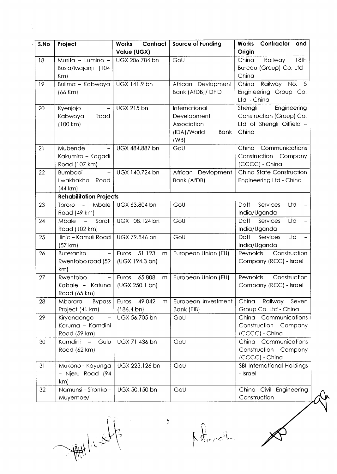| S.No | Project                                                                   | <b>Works</b><br>Contract<br>Value (UGX)          | <b>Source of Funding</b>                                                          | Works<br>Contractor<br>and<br>Origin                                                     |
|------|---------------------------------------------------------------------------|--------------------------------------------------|-----------------------------------------------------------------------------------|------------------------------------------------------------------------------------------|
| 18   | Musita - Lumino -<br>Busia/Majanji (104<br>Km                             | UGX 206.784 bn                                   | GoU                                                                               | 18th<br>Railway<br>China<br>Bureau (Group) Co. Ltd -<br>China                            |
| 19   | Bulima - Kabwoya<br>$(66$ Km $)$                                          | UGX 141.9 bn                                     | African Devlopment<br>Bank (AfDB)/ DFID                                           | Railway No. 5<br>China<br>Engineering Group Co.<br>Ltd - China                           |
| 20   | Kyenjojo<br>$\overline{\phantom{a}}$<br>Kabwoya<br>Road<br>(100 km)       | <b>UGX 215 bn</b>                                | International<br>Development<br>Association<br>(IDA)/World<br><b>Bank</b><br>(WB) | Engineering<br>Shengli<br>Construction (Group) Co.<br>Ltd of Shengli Oilfield -<br>China |
| 21   | Mubende<br>Kakumiro - Kagadi<br>Road (107 km)                             | UGX 484.887 bn                                   | GoU                                                                               | Communications<br>China<br>Construction Company<br>(CCCC) - China                        |
| 22   | <b>Bumbobi</b><br>$-$<br>Lwakhakha Road<br>(44 km)                        | UGX 140.724 bn                                   | African Devlopment<br>Bank (AfDB)                                                 | China State Construction<br>Engineering Ltd - China                                      |
|      | <b>Rehabilitation Projects</b>                                            |                                                  |                                                                                   |                                                                                          |
| 23   | Mbale<br>Tororo<br>$\overline{\phantom{m}}$<br>Road (49 km)               | UGX 63.804 bn                                    | GoU                                                                               | Services<br>Ltd<br>Dott<br>India/Uganda                                                  |
| 24   | Soroti<br><b>Mbale</b><br>$\frac{1}{2}$<br>Road (102 km)                  | UGX 108.124 bn                                   | GoU                                                                               | Ltd<br>Dott<br>Services<br>India/Uganda                                                  |
| 25   | Jinja - Kamuli Road<br>(57 km)                                            | UGX 79.846 bn                                    | GoU                                                                               | Dott<br>Services<br>Ltd<br>India/Uganda                                                  |
| 26   | <b>Buteraniro</b><br>$\overline{\phantom{m}}$<br>Rwentobo road (59<br>km) | Euros 51.123<br>m<br>(UGX 194.3 b <sub>n</sub> ) | European Union (EU)                                                               | Reynolds<br>Construction<br>Company (RCC) - Israel                                       |
| 27   | Rwentobo<br>$\qquad \qquad -$<br>Kabale - Katuna<br>Road (65 km)          | Euros 65.808<br>m<br>(UGX 250.1 bn)              | European Union (EU)                                                               | Reynolds<br>Construction<br>Company (RCC) - Israel                                       |
| 28   | <b>Bypass</b><br>Mbarara<br>Project (41 km)                               | Euros 49.042<br>m<br>$(186.4 \text{ bn})$        | European Investment<br>Bank (EIB)                                                 | China<br>Railway<br>Seven<br>Group Co. Ltd - China                                       |
| 29   | Kiryandongo<br>Karuma - Kamdini<br>Road (59 km)                           | UGX 56.705 bn                                    | GoU                                                                               | China Communications<br>Construction Company<br>(CCCC) - China                           |
| 30   | Kamdini - Gulu<br>Road (62 km)                                            | UGX 71.436 bn                                    | GoU                                                                               | China Communications<br>Construction Company<br>(CCCC) - China                           |
| 31   | Mukono-Kayunga<br>- Njeru Road (94<br>km)                                 | UGX 223.126 bn                                   | GoU                                                                               | SBI International Holdings<br>- Israel                                                   |
| 32   | Namunsi - Sironko -<br>Muyembe/                                           | UGX 50.150 bn                                    | GoU                                                                               | China Civil Engineering<br>Construction                                                  |

I What I have to ti Julian

n.

 $\mathcal{C}$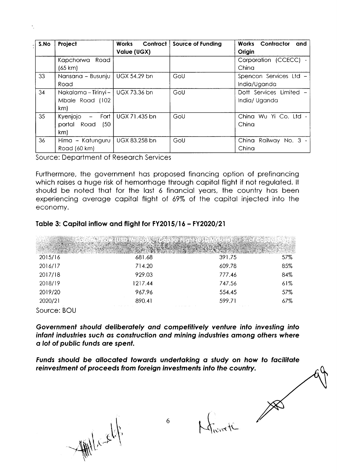| S.No | Project                                                                    | Contract  <br><b>Works</b><br>Value (UGX) | <b>Source of Funding</b> | <b>Works Contractor</b><br>and<br>Origin |
|------|----------------------------------------------------------------------------|-------------------------------------------|--------------------------|------------------------------------------|
|      | Road<br>Kapchorwa<br>(65 km)                                               |                                           |                          | Corporation (CCECC) -<br>China           |
| 33   | Nansana - Busunju<br>Road                                                  | UGX 54.29 bn                              | GoU                      | Spencon Services Ltd -<br>India/Uganda   |
| 34   | Nakalama - Tirinyi -   UGX 73.36 bn<br>Mbale Road (102<br>km)              |                                           | GoU                      | Dott Services Limited -<br>India/Uganda  |
| 35   | Fort<br>Kyenjojo<br>$\overline{\phantom{m}}$<br>portal Road<br>(50)<br>km) | UGX 71.435 bn                             | GoU                      | China Wu Yi Co. Ltd -<br>China           |
| 36   | Hima - Katunguru<br>Road (60 km)                                           | UGX 83.258 bn                             | GoU                      | China Railway No. 3 -<br>China           |

Source: Department of Research Services

Furthermore, the government has proposed financing option of prefinancing which raises a huge risk of hemorrhage through capital flight if not regulated. It should be noted that for the last 6 financial years, the country has been experiencing average capital flight of 69% of the capital injected into the economy.

### Table 3: Capital inflow and flight for FY2015/16 - FY2020/21

| 2015/16     | 681.68  | 391.75         | 57% |
|-------------|---------|----------------|-----|
| 2016/17     | 714.20  | 609.78         | 85% |
| 2017/18     | 929.03  | 777.46         | 84% |
| 2018/19     | 1217.44 | 747.56         | 61% |
| 2019/20     | 967.96  | 554.45         | 57% |
| 2020/21     | 890.41  | 599.71         | 67% |
| Source: BOU |         | The process of |     |

Government should deliberately and competitively venture into investing into infant industries such as construction and mining industries among others where a lot of public funds are spent.

Funds should be allocated towards undertaking a study on how to facilitate reinvestment of proceeds from foreign investments into the country.

William

Franch A

6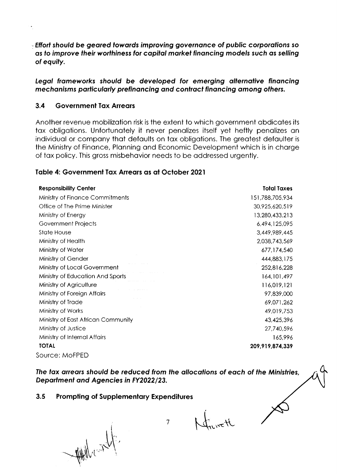**Effort should be geared towards improving governance of public corporations so** as to improve their worthiness for capital market financing models such as selling of equity.

Legal frameworks should be developed for emerging alternative financing mechanisms particularly prefinancing and contract financing among others.

#### $3.4$ **Government Tax Arrears**

Another revenue mobilization risk is the extent to which government abdicates its tax obligations. Unfortunately it never penalizes itself yet heftly penalizes an individual or company that defaults on tax obligations. The greatest defaulter is the Ministry of Finance, Planning and Economic Development which is in charge of tax policy. This gross misbehavior needs to be addressed urgently.

### Table 4: Government Tax Arrears as at October 2021

| <b>Responsibility Center</b>       | <b>Total Taxes</b> |
|------------------------------------|--------------------|
| Ministry of Finance Commitments    | 151,788,705,934    |
| Office of The Prime Minister       | 30,925,620,519     |
| Ministry of Energy                 | 13,280,433,213     |
| Government Projects                | 6,494,125,095      |
| <b>State House</b>                 | 3,449,989,445      |
| Ministry of Health                 | 2,038,743,569      |
| Ministry of Water                  | 677,174,540        |
| Ministry of Gender                 | 444,883,175        |
| Ministry of Local Government       | 252,816,228        |
| Ministry of Education And Sports   | 164, 101, 497      |
| Ministry of Agriculture            | 116,019,121        |
| Ministry of Foreign Affairs        | 97,839,000         |
| Ministry of Trade                  | 69,071,262         |
| Ministry of Works                  | 49,019,753         |
| Ministry of East African Community | 43,425,396         |
| Ministry of Justice                | 27,740,596         |
| Ministry of Internal Affairs       | 165,996            |
| <b>TOTAL</b>                       | 209,919,874,339    |
| Source: MoFPED                     |                    |

The tax arrears should be reduced from the allocations of each of the Ministries. Department and Agencies in FY2022/23.

#### $3.5$ **Prompting of Supplementary Expenditures**

New Villey

 $\overline{7}$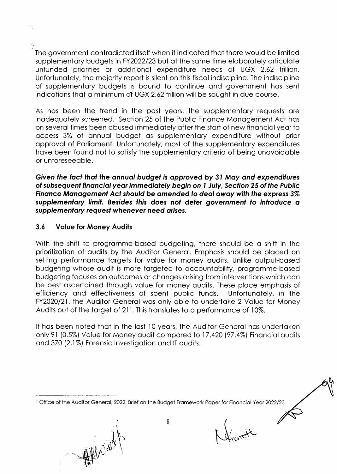The government controdicted itself when it indicoted thot there would be limited supplementary budgets in FY2022/23 but at the same time elaborately articulate unfunded priorities or odditionol expenditure needs of UGX 2.62 trillion. Unfortunotely, the mojority report is silent on this fiscol indiscipline. The indiscipline of supplementory budgets is bound to continue ond government hos sent indications that a minimum of UGX 2.62 trillion will be sought in due course.

As hos been the trend in the post yeors, the supplementory requests ore inodequotely screened. Section 25 of the Public Finonce Monogement Act hos on severol times been obused immediotely ofter the stort of new finonciol yeor to occess 3% of onnuol budget os supplementory expenditure without prior opprovol of Porlioment. Unfortunotely, most of the supplementory expenditures have been found not to satisfy the supplementary criteria of being unavoidable or unforeseeoble.

Given the foct thot the onnuol budgel is opproved by 3l Moy ond expendifures of subsequent financial year immediately begin on 1 July, Section 25 of the Public Finance Management Act should be amended to deal away with the express 3% supplementary limit. Besides this does not deter government to introduce a supplementary request whenever need arises.

### 3.6 Volue for Money Audits

With the shift to programme-based budgeting, there should be a shift in the prioritizotion of oudits by the Auditor Generol. Emphosis should be ploced on setting performance targets for value for money audits. Unlike output-based budgeting whose oudit is more torgeted to occountobility, progromme-bosed budgeting focuses on outcomes or chonges orising from interventions which con be best oscertoined through volue for money oudits. These ploce emphosis of efficiency ond effectiveness of spent public funds. Unfortunotely, in the FY2020/21, the Auditor General was only able to undertake 2 Value for Money Audits out of the target of  $21<sup>t</sup>$ . This translates to a performance of 10%.

It hos been noted thot in the lost l0 yeors, the Auditor Generol hos undertoken only 9l (0.5%) Volue for Money oudit compored to <sup>I</sup>7 ,420 (97 .4%) Finonciol oudits and 370 (2.1%) Forensic Investigation and IT audits.

 $\mathcal{W}$  $-1$ 

Klundt

8

<sup>&</sup>lt;sup>1</sup> Office of the Auditor General, 2022. Brief on the Budget Framework Paper for Financial Year 2022/23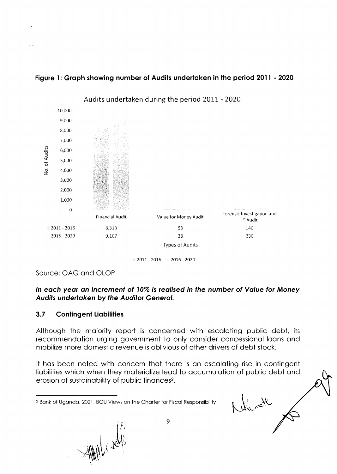



 $\ge 2011 - 2016 = 2016 - 2020$ 

Source: OAG and OLOP

 $\ddot{\phantom{0}}$ 

### In each year an increment of 10% is realised in the number of Value for Money Audits undertaken by the Auditor General.

#### $3.7$ **Contingent Liabilities**

Although the majority report is concerned with escalating public debt, its recommendation urging government to only consider concessional loans and mobilize more domestic revenue is oblivious of other drivers of debt stock.

It has been noted with concern that there is an escalating rise in contingent liabilities which when they materialize lead to accumulation of public debt and erosion of sustainability of public finances<sup>2</sup>.

Christ C

With lives

9

<sup>&</sup>lt;sup>2</sup> Bank of Uganda, 2021. BOU Views on the Charter for Fiscal Responsibility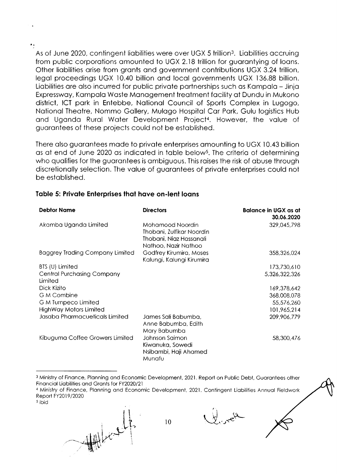As of June 2020, contingent liabilities were over UGX 5 trillion<sup>3</sup>. Liabilities accruing from public corporations amounted to UGX 2.18 trillion for guarantying of loans. Other liobilities orise from gronts ond government contributions UGX 3.24 trillion, legol proceedings UGX 10.40 billion ond locol governments UGX 136.88 billion. Liobilities ore olso incurred for public privote portnerships such os Kompolo - Jinjo Expresswoy, Kompolo Woste Monogement treotment focility of Dundu in Mukono district, ICT pork in Entebbe, Notionol Council of Sports Complex in Lugogo, Notionol Theotre, Nommo Gollery, Mulogo Hospitol Cor Pork, Gulu logistics Hub ond Ugondo Rurol Woter Development Project4. However, the volue of guorontees of these projects could not be estoblished.

There also guarantees made to private enterprises amounting to UGX 10.43 billion os of end of June 2020 os indicoted in toble belows. The criterio of determining who qualifies for the quarantees is ambiguous. This raises the risk of abuse through discretionally selection. The value of guarantees of private enterprises could not be estoblished.

### Table 5: Private Enterprises that have on-lent loans

| <b>Debtor Name</b>                           | <b>Directors</b>                                                                                 | <b>Balance in UGX as at</b><br>30.06.2020 |
|----------------------------------------------|--------------------------------------------------------------------------------------------------|-------------------------------------------|
| Akamba Uganda Limited                        | Mohamood Noordin<br>Thobani, Zulfikar Noordin<br>Thobani, Niaz Hassanali<br>Nathoo, Nazir Nathoo | 329,045,798                               |
| <b>Baggrey Trading Company Limited</b>       | Godfrey Kirumira, Moses<br>Kalungi, Kalungi Kirumira                                             | 358,326,024                               |
| BTS (U) Limited                              |                                                                                                  | 173,730,610                               |
| <b>Central Purchasing Company</b><br>Limited |                                                                                                  | 5,326,322,326                             |
| Dick Kizito                                  |                                                                                                  | 169,378,642                               |
| <b>G</b> M Combine                           |                                                                                                  | 368,008,078                               |
| G M Turnpeco Limited                         |                                                                                                  | 55,576,260                                |
| <b>HighWay Motors Limited</b>                |                                                                                                  | 101,965,214                               |
| Jasaba Pharmacueticals Limited               | James Sali Babumba,<br>Anne Babumba, Edith<br>Mary Babumba                                       | 209,906,779                               |
| Kibuguma Coffee Growers Limited              | Johnson Saimon<br>Kiwanuka, Sowedi<br>Nsibambi, Haji Ahamed<br>Munafu                            | 58,300,476                                |

3 Ministry of Finance, Planning and Economic Development, 2021. Report on Public Debt, Guarantees other Financial Liabilities and Grants for FY2020/21

<sup>4</sup> Ministry of Finance, Planning and Economic Development, 2021. Contingent Liabilities Annual Fieldwork Report FY2019/2020

10

s ibid

 $\rightarrow$ 

 $\bigwedge$ 

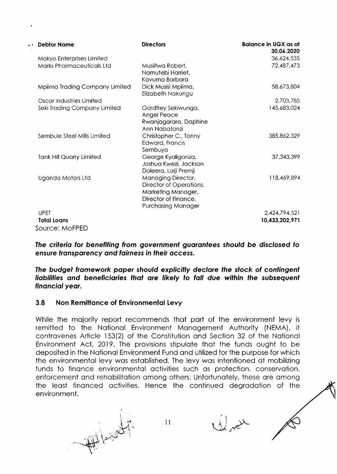| <b>Debtor Name</b>               | <b>Directors</b>                                                                                                                | Balance in UGX as at<br>30.06.2020 |
|----------------------------------|---------------------------------------------------------------------------------------------------------------------------------|------------------------------------|
| Makyo Enterprises Limited        |                                                                                                                                 | 36,624,535                         |
| <b>Marks Pharmaceuticals Ltd</b> | Musiitwa Robert,<br>Namutebi Harriet,<br>Kavuma Barbara                                                                         | 72,487,473                         |
| Mpiima Trading Company Limited   | Dick Musisi Mpiima,<br>Elizabeth Nakungu                                                                                        | 58,673,804                         |
| Oscar Industries Limited         |                                                                                                                                 | 2,703,785                          |
| Seki Trading Company Limited     | Gordfrey Sekiwunga,<br>Angel Peace<br>Rwanjagarara, Daphine<br>Ann Nabatanzi                                                    | 145,683,024                        |
| Sembule Steel Mills Limited      | Christopher C., Tonny<br>Edward, Francis<br>Sembuya                                                                             | 385,862,329                        |
| <b>Tank Hill Quarry Limited</b>  | George Kyaligonza,<br>Joshua Kwezi, Jackson<br>Doleera, Lalji Premji                                                            | 37, 343, 399                       |
| Uganda Motors Ltd                | <b>Managing Director,</b><br>Director of Operations,<br>Marketing Manager,<br>Director of Finance,<br><b>Purchasing Manager</b> | 118,469,894                        |
| <b>UPET</b>                      |                                                                                                                                 | 2,424,794,521                      |
| <b>Total Loans</b>               |                                                                                                                                 | 10,433,202,971                     |
| Source: MoFPED                   |                                                                                                                                 |                                    |

The criteria for benefiting from government guarantees should be disclosed to ensure transparency and fairness in their access.

The budget framework paper should explicitly declare the stock of contingent liabilities and beneficiaries that are likely to fall due within the subsequent financial year.

#### $3.8$ Non Remittance of Environmental Levy

While the majority report recommends that part of the environment levy is remitted to the National Environment Management Authority (NEMA), it contravenes Article 153(2) of the Constitution and Section 32 of the National Environment Act, 2019. The provisions stipulate that the funds ought to be deposited in the National Environment Fund and utilized for the purpose for which the environmental levy was established. The levy was intentioned at mobilizing funds to finance environmental activities such as protection, conservation, enforcement and rehabilitation among others. Unfortunately, these are among the least financed activities. Hence the continued degradation of the environment.

 $11$ 



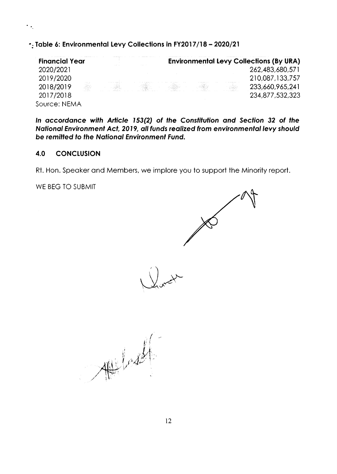-: Table 6: Environmental Levy Collections in FY2017/18 - 2020/21

| <b>Financial Year</b> |                      |                   |  | <b>Environmental Levy Collections (By URA)</b> |
|-----------------------|----------------------|-------------------|--|------------------------------------------------|
| 2020/2021             | <b>A. A. P. L.A.</b> | <b>CONTRACTOR</b> |  | 262,483,680,571                                |
| 2019/2020             |                      |                   |  | 210,087,133,757                                |
| 2018/2019             |                      |                   |  | 233,660,965,241                                |
| 2017/2018             |                      |                   |  | 234,877,532,323                                |
| Source: NEMA          |                      |                   |  |                                                |

In accordance with Article 153(2) of the Constitution and Section 32 of the National Environment Act, 2019, all funds realized from environmental levy should be remitted to the National Environment Fund.

#### 4.0 **CONCLUSION**

 $\overline{\mathcal{F}}_{\mathcal{F}_n}$ 

Rt. Hon. Speaker and Members, we implore you to support the Minority report.

WE BEG TO SUBMIT

 $\mathcal{A}^{\mu\nu}$